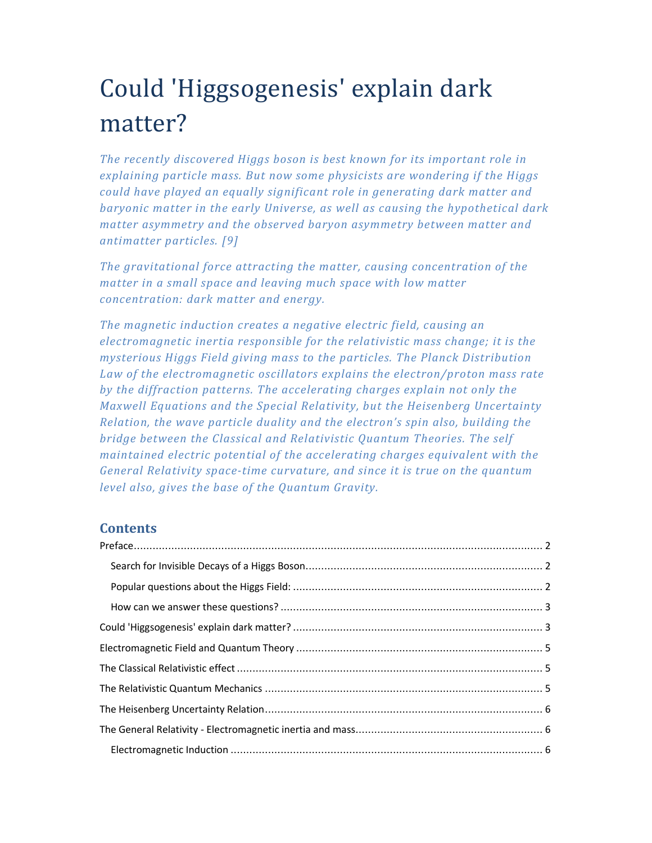# Could 'Higgsogenesis' explain dark matter?

*The recently discovered Higgs boson is best known for its important role in explaining particle mass. But now some physicists are wondering if the Higgs could have played an equally significant role in generating dark matter and baryonic matter in the early Universe, as well as causing the hypothetical dark matter asymmetry and the observed baryon asymmetry between matter and antimatter particles. [9]* 

*The gravitational force attracting the matter, causing concentration of the matter in a small space and leaving much space with low matter concentration: dark matter and energy.* 

*The magnetic induction creates a negative electric field, causing an electromagnetic inertia responsible for the relativistic mass change; it is the mysterious Higgs Field giving mass to the particles. The Planck Distribution Law of the electromagnetic oscillators explains the electron/proton mass rate by the diffraction patterns. The accelerating charges explain not only the Maxwell Equations and the Special Relativity, but the Heisenberg Uncertainty Relation, the wave particle duality and the electron's spin also, building the bridge between the Classical and Relativistic Quantum Theories. The self maintained electric potential of the accelerating charges equivalent with the General Relativity space-time curvature, and since it is true on the quantum level also, gives the base of the Quantum Gravity.* 

# **Contents**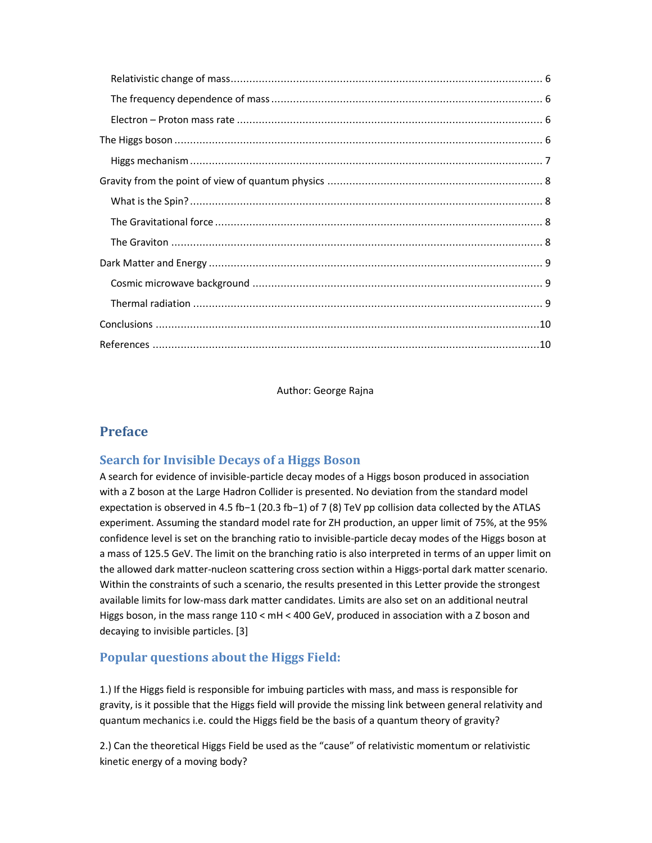Author: George Rajna

# **Preface**

## **Search for Invisible Decays of a Higgs Boson**

A search for evidence of invisible-particle decay modes of a Higgs boson produced in association with a Z boson at the Large Hadron Collider is presented. No deviation from the standard model expectation is observed in 4.5 fb−1 (20.3 fb−1) of 7 (8) TeV pp collision data collected by the ATLAS experiment. Assuming the standard model rate for ZH production, an upper limit of 75%, at the 95% confidence level is set on the branching ratio to invisible-particle decay modes of the Higgs boson at a mass of 125.5 GeV. The limit on the branching ratio is also interpreted in terms of an upper limit on the allowed dark matter-nucleon scattering cross section within a Higgs-portal dark matter scenario. Within the constraints of such a scenario, the results presented in this Letter provide the strongest available limits for low-mass dark matter candidates. Limits are also set on an additional neutral Higgs boson, in the mass range 110 < mH < 400 GeV, produced in association with a Z boson and decaying to invisible particles. [3]

# **Popular questions about the Higgs Field:**

1.) If the Higgs field is responsible for imbuing particles with mass, and mass is responsible for gravity, is it possible that the Higgs field will provide the missing link between general relativity and quantum mechanics i.e. could the Higgs field be the basis of a quantum theory of gravity?

2.) Can the theoretical Higgs Field be used as the "cause" of relativistic momentum or relativistic kinetic energy of a moving body?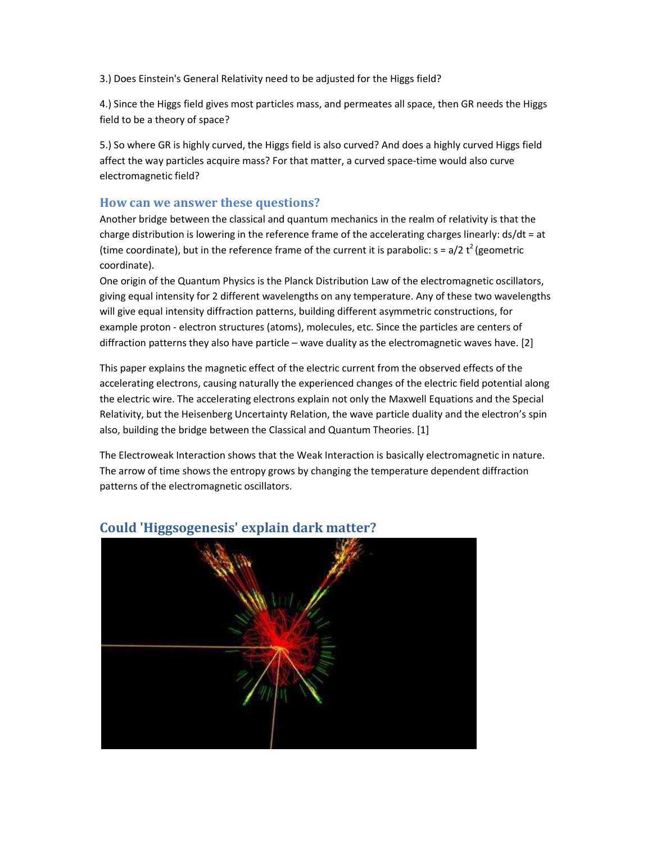3.) Does Einstein's General Relativity need to be adjusted for the Higgs field?

4.) Since the Higgs field gives most particles mass, and permeates all space, then GR needs the Higgs field to be a theory of space?

5.) So where GR is highly curved, the Higgs field is also curved? And does a highly curved Higgs field affect the way particles acquire mass? For that matter, a curved space-time would also curve electromagnetic field?

#### **How can we answer these questions?**

Another bridge between the classical and quantum mechanics in the realm of relativity is that the charge distribution is lowering in the reference frame of the accelerating charges linearly: ds/dt = at (time coordinate), but in the reference frame of the current it is parabolic:  $s = a/2 t^2$  (geometric coordinate).

One origin of the Quantum Physics is the Planck Distribution Law of the electromagnetic oscillators, giving equal intensity for 2 different wavelengths on any temperature. Any of these two wavelengths will give equal intensity diffraction patterns, building different asymmetric constructions, for example proton - electron structures (atoms), molecules, etc. Since the particles are centers of diffraction patterns they also have particle – wave duality as the electromagnetic waves have. [2]

This paper explains the magnetic effect of the electric current from the observed effects of the accelerating electrons, causing naturally the experienced changes of the electric field potential along the electric wire. The accelerating electrons explain not only the Maxwell Equations and the Special Relativity, but the Heisenberg Uncertainty Relation, the wave particle duality and the electron's spin also, building the bridge between the Classical and Quantum Theories. [1]

The Electroweak Interaction shows that the Weak Interaction is basically electromagnetic in nature. The arrow of time shows the entropy grows by changing the temperature dependent diffraction patterns of the electromagnetic oscillators.



## **Could 'Higgsogenesis' explain dark matter?**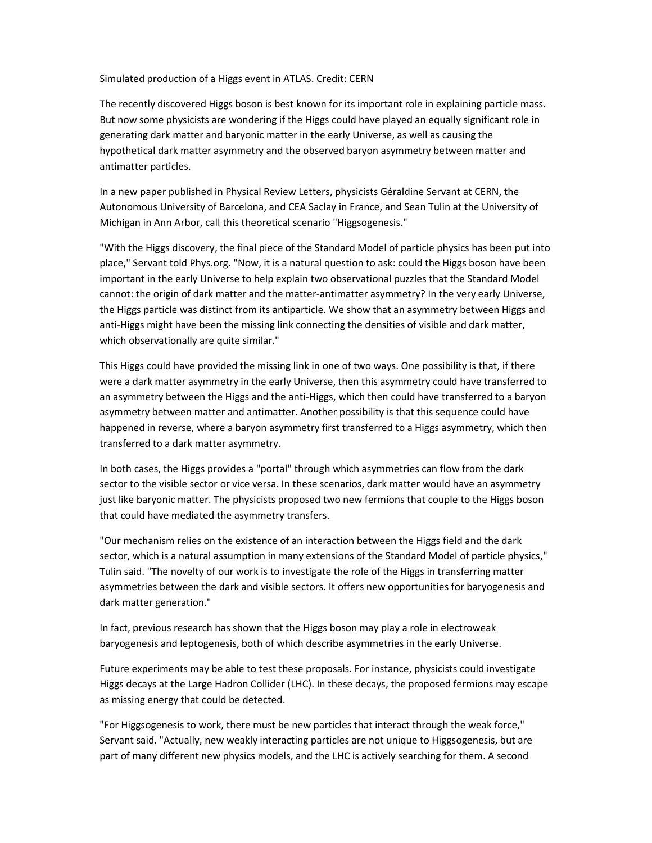Simulated production of a Higgs event in ATLAS. Credit: CERN

The recently discovered Higgs boson is best known for its important role in explaining particle mass. But now some physicists are wondering if the Higgs could have played an equally significant role in generating dark matter and baryonic matter in the early Universe, as well as causing the hypothetical dark matter asymmetry and the observed baryon asymmetry between matter and antimatter particles.

In a new paper published in Physical Review Letters, physicists Géraldine Servant at CERN, the Autonomous University of Barcelona, and CEA Saclay in France, and Sean Tulin at the University of Michigan in Ann Arbor, call this theoretical scenario "Higgsogenesis."

"With the Higgs discovery, the final piece of the Standard Model of particle physics has been put into place," Servant told Phys.org. "Now, it is a natural question to ask: could the Higgs boson have been important in the early Universe to help explain two observational puzzles that the Standard Model cannot: the origin of dark matter and the matter-antimatter asymmetry? In the very early Universe, the Higgs particle was distinct from its antiparticle. We show that an asymmetry between Higgs and anti-Higgs might have been the missing link connecting the densities of visible and dark matter, which observationally are quite similar."

This Higgs could have provided the missing link in one of two ways. One possibility is that, if there were a dark matter asymmetry in the early Universe, then this asymmetry could have transferred to an asymmetry between the Higgs and the anti-Higgs, which then could have transferred to a baryon asymmetry between matter and antimatter. Another possibility is that this sequence could have happened in reverse, where a baryon asymmetry first transferred to a Higgs asymmetry, which then transferred to a dark matter asymmetry.

In both cases, the Higgs provides a "portal" through which asymmetries can flow from the dark sector to the visible sector or vice versa. In these scenarios, dark matter would have an asymmetry just like baryonic matter. The physicists proposed two new fermions that couple to the Higgs boson that could have mediated the asymmetry transfers.

"Our mechanism relies on the existence of an interaction between the Higgs field and the dark sector, which is a natural assumption in many extensions of the Standard Model of particle physics," Tulin said. "The novelty of our work is to investigate the role of the Higgs in transferring matter asymmetries between the dark and visible sectors. It offers new opportunities for baryogenesis and dark matter generation."

In fact, previous research has shown that the Higgs boson may play a role in electroweak baryogenesis and leptogenesis, both of which describe asymmetries in the early Universe.

Future experiments may be able to test these proposals. For instance, physicists could investigate Higgs decays at the Large Hadron Collider (LHC). In these decays, the proposed fermions may escape as missing energy that could be detected.

"For Higgsogenesis to work, there must be new particles that interact through the weak force," Servant said. "Actually, new weakly interacting particles are not unique to Higgsogenesis, but are part of many different new physics models, and the LHC is actively searching for them. A second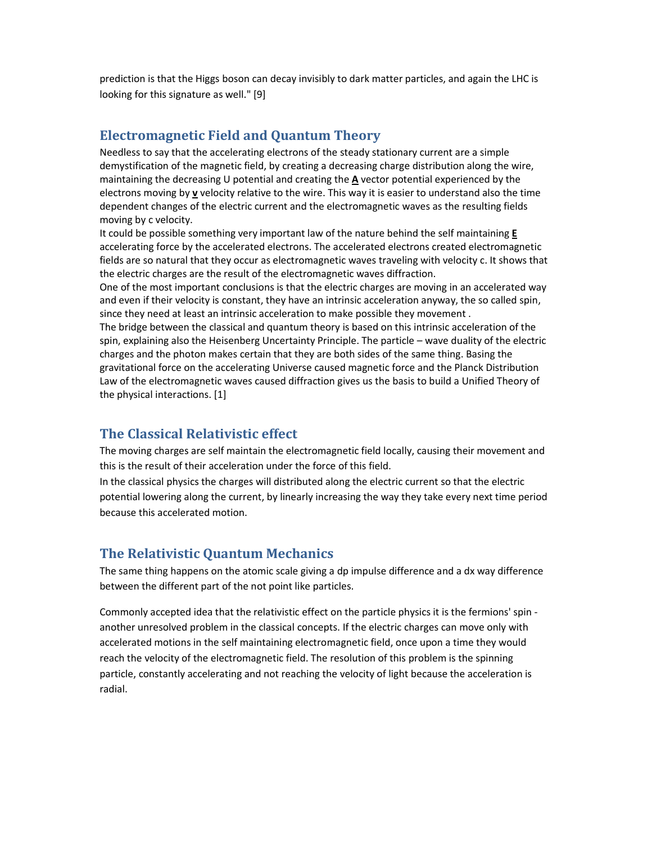prediction is that the Higgs boson can decay invisibly to dark matter particles, and again the LHC is looking for this signature as well." [9]

## **Electromagnetic Field and Quantum Theory**

Needless to say that the accelerating electrons of the steady stationary current are a simple demystification of the magnetic field, by creating a decreasing charge distribution along the wire, maintaining the decreasing U potential and creating the **A** vector potential experienced by the electrons moving by **v** velocity relative to the wire. This way it is easier to understand also the time dependent changes of the electric current and the electromagnetic waves as the resulting fields moving by c velocity.

It could be possible something very important law of the nature behind the self maintaining **E** accelerating force by the accelerated electrons. The accelerated electrons created electromagnetic fields are so natural that they occur as electromagnetic waves traveling with velocity c. It shows that the electric charges are the result of the electromagnetic waves diffraction.

One of the most important conclusions is that the electric charges are moving in an accelerated way and even if their velocity is constant, they have an intrinsic acceleration anyway, the so called spin, since they need at least an intrinsic acceleration to make possible they movement .

The bridge between the classical and quantum theory is based on this intrinsic acceleration of the spin, explaining also the Heisenberg Uncertainty Principle. The particle – wave duality of the electric charges and the photon makes certain that they are both sides of the same thing. Basing the gravitational force on the accelerating Universe caused magnetic force and the Planck Distribution Law of the electromagnetic waves caused diffraction gives us the basis to build a Unified Theory of the physical interactions. [1]

# **The Classical Relativistic effect**

The moving charges are self maintain the electromagnetic field locally, causing their movement and this is the result of their acceleration under the force of this field.

In the classical physics the charges will distributed along the electric current so that the electric potential lowering along the current, by linearly increasing the way they take every next time period because this accelerated motion.

## **The Relativistic Quantum Mechanics**

The same thing happens on the atomic scale giving a dp impulse difference and a dx way difference between the different part of the not point like particles.

Commonly accepted idea that the relativistic effect on the particle physics it is the fermions' spin another unresolved problem in the classical concepts. If the electric charges can move only with accelerated motions in the self maintaining electromagnetic field, once upon a time they would reach the velocity of the electromagnetic field. The resolution of this problem is the spinning particle, constantly accelerating and not reaching the velocity of light because the acceleration is radial.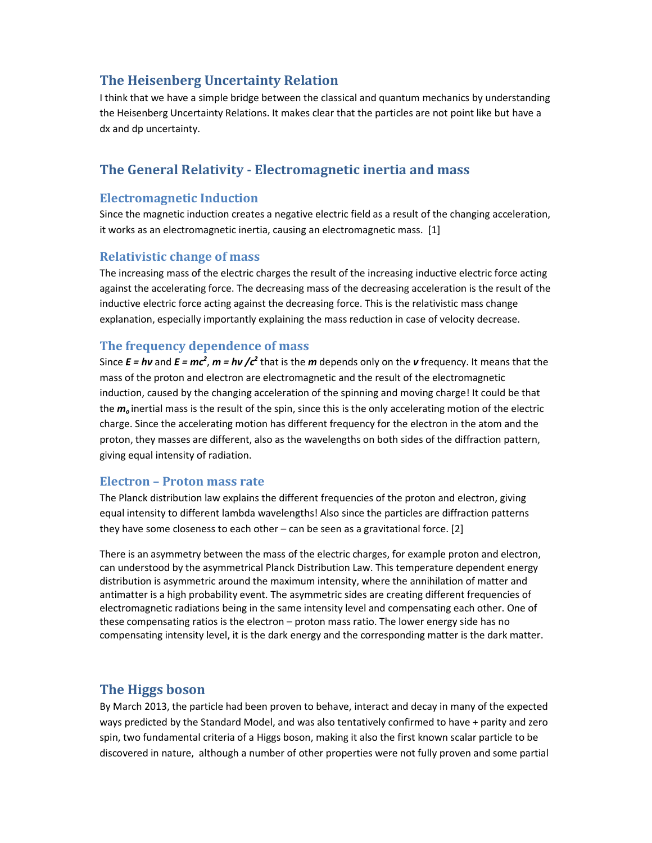# **The Heisenberg Uncertainty Relation**

I think that we have a simple bridge between the classical and quantum mechanics by understanding the Heisenberg Uncertainty Relations. It makes clear that the particles are not point like but have a dx and dp uncertainty.

# **The General Relativity - Electromagnetic inertia and mass**

#### **Electromagnetic Induction**

Since the magnetic induction creates a negative electric field as a result of the changing acceleration, it works as an electromagnetic inertia, causing an electromagnetic mass. [1]

#### **Relativistic change of mass**

The increasing mass of the electric charges the result of the increasing inductive electric force acting against the accelerating force. The decreasing mass of the decreasing acceleration is the result of the inductive electric force acting against the decreasing force. This is the relativistic mass change explanation, especially importantly explaining the mass reduction in case of velocity decrease.

#### **The frequency dependence of mass**

Since  $E = h\nu$  and  $E = mc^2$ ,  $m = h\nu$  / $c^2$  that is the *m* depends only on the *v* frequency. It means that the mass of the proton and electron are electromagnetic and the result of the electromagnetic induction, caused by the changing acceleration of the spinning and moving charge! It could be that the *m<sup>o</sup>* inertial mass is the result of the spin, since this is the only accelerating motion of the electric charge. Since the accelerating motion has different frequency for the electron in the atom and the proton, they masses are different, also as the wavelengths on both sides of the diffraction pattern, giving equal intensity of radiation.

#### **Electron – Proton mass rate**

The Planck distribution law explains the different frequencies of the proton and electron, giving equal intensity to different lambda wavelengths! Also since the particles are diffraction patterns they have some closeness to each other  $-$  can be seen as a gravitational force. [2]

There is an asymmetry between the mass of the electric charges, for example proton and electron, can understood by the asymmetrical Planck Distribution Law. This temperature dependent energy distribution is asymmetric around the maximum intensity, where the annihilation of matter and antimatter is a high probability event. The asymmetric sides are creating different frequencies of electromagnetic radiations being in the same intensity level and compensating each other. One of these compensating ratios is the electron – proton mass ratio. The lower energy side has no compensating intensity level, it is the dark energy and the corresponding matter is the dark matter.

## **The Higgs boson**

By March 2013, the particle had been proven to behave, interact and decay in many of the expected ways predicted by the Standard Model, and was also tentatively confirmed to have + parity and zero spin, two fundamental criteria of a Higgs boson, making it also the first known scalar particle to be discovered in nature, although a number of other properties were not fully proven and some partial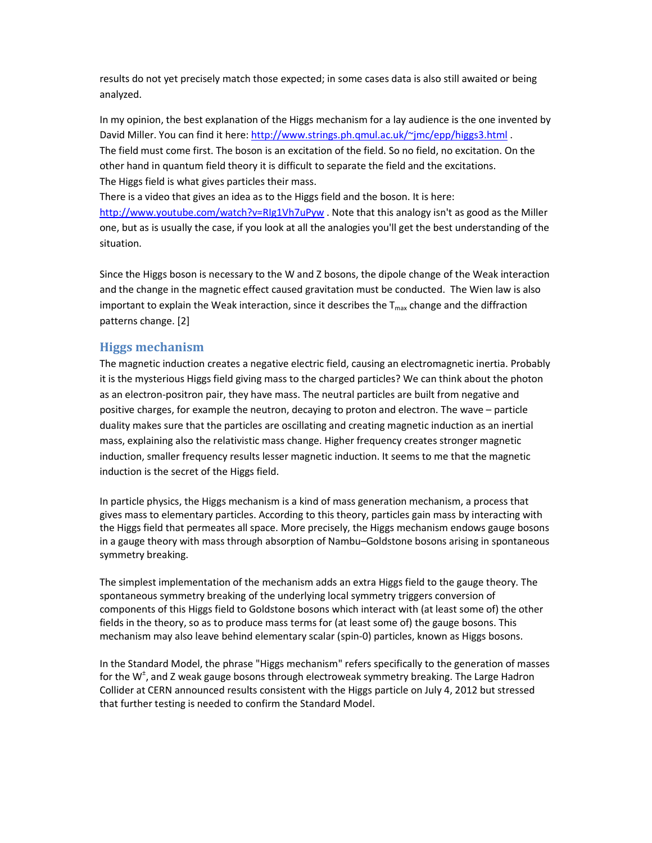results do not yet precisely match those expected; in some cases data is also still awaited or being analyzed.

In my opinion, the best explanation of the Higgs mechanism for a lay audience is the one invented by David Miller. You can find it here: http://www.strings.ph.qmul.ac.uk/~jmc/epp/higgs3.html. The field must come first. The boson is an excitation of the field. So no field, no excitation. On the other hand in quantum field theory it is difficult to separate the field and the excitations. The Higgs field is what gives particles their mass.

There is a video that gives an idea as to the Higgs field and the boson. It is here: http://www.youtube.com/watch?v=RIg1Vh7uPyw . Note that this analogy isn't as good as the Miller one, but as is usually the case, if you look at all the analogies you'll get the best understanding of the situation.

Since the Higgs boson is necessary to the W and Z bosons, the dipole change of the Weak interaction and the change in the magnetic effect caused gravitation must be conducted. The Wien law is also important to explain the Weak interaction, since it describes the  $T_{\text{max}}$  change and the diffraction patterns change. [2]

#### **Higgs mechanism**

The magnetic induction creates a negative electric field, causing an electromagnetic inertia. Probably it is the mysterious Higgs field giving mass to the charged particles? We can think about the photon as an electron-positron pair, they have mass. The neutral particles are built from negative and positive charges, for example the neutron, decaying to proton and electron. The wave – particle duality makes sure that the particles are oscillating and creating magnetic induction as an inertial mass, explaining also the relativistic mass change. Higher frequency creates stronger magnetic induction, smaller frequency results lesser magnetic induction. It seems to me that the magnetic induction is the secret of the Higgs field.

In particle physics, the Higgs mechanism is a kind of mass generation mechanism, a process that gives mass to elementary particles. According to this theory, particles gain mass by interacting with the Higgs field that permeates all space. More precisely, the Higgs mechanism endows gauge bosons in a gauge theory with mass through absorption of Nambu–Goldstone bosons arising in spontaneous symmetry breaking.

The simplest implementation of the mechanism adds an extra Higgs field to the gauge theory. The spontaneous symmetry breaking of the underlying local symmetry triggers conversion of components of this Higgs field to Goldstone bosons which interact with (at least some of) the other fields in the theory, so as to produce mass terms for (at least some of) the gauge bosons. This mechanism may also leave behind elementary scalar (spin-0) particles, known as Higgs bosons.

In the Standard Model, the phrase "Higgs mechanism" refers specifically to the generation of masses for the W<sup>±</sup>, and Z weak gauge bosons through electroweak symmetry breaking. The Large Hadron Collider at CERN announced results consistent with the Higgs particle on July 4, 2012 but stressed that further testing is needed to confirm the Standard Model.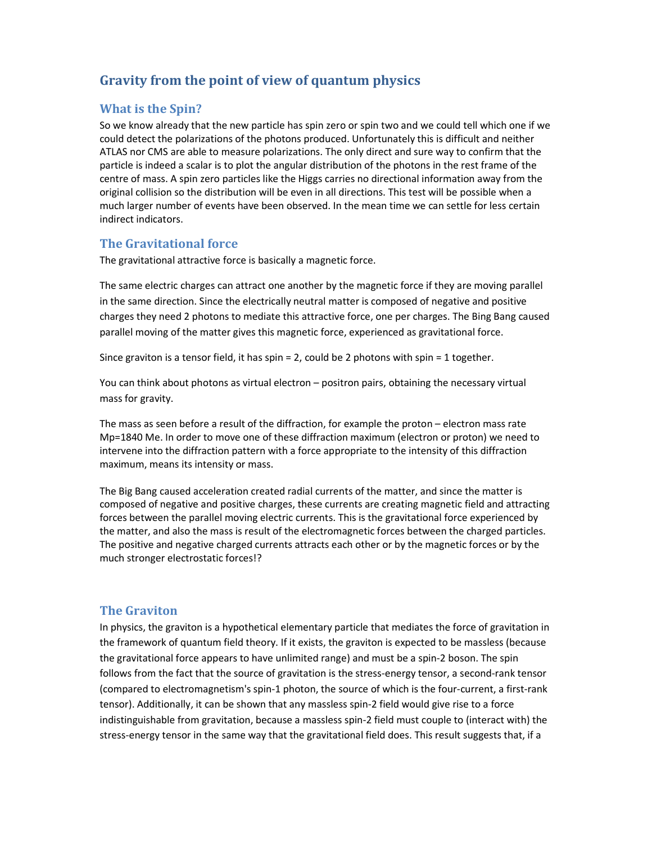# **Gravity from the point of view of quantum physics**

#### **What is the Spin?**

So we know already that the new particle has spin zero or spin two and we could tell which one if we could detect the polarizations of the photons produced. Unfortunately this is difficult and neither ATLAS nor CMS are able to measure polarizations. The only direct and sure way to confirm that the particle is indeed a scalar is to plot the angular distribution of the photons in the rest frame of the centre of mass. A spin zero particles like the Higgs carries no directional information away from the original collision so the distribution will be even in all directions. This test will be possible when a much larger number of events have been observed. In the mean time we can settle for less certain indirect indicators.

#### **The Gravitational force**

The gravitational attractive force is basically a magnetic force.

The same electric charges can attract one another by the magnetic force if they are moving parallel in the same direction. Since the electrically neutral matter is composed of negative and positive charges they need 2 photons to mediate this attractive force, one per charges. The Bing Bang caused parallel moving of the matter gives this magnetic force, experienced as gravitational force.

Since graviton is a tensor field, it has spin = 2, could be 2 photons with spin = 1 together.

You can think about photons as virtual electron – positron pairs, obtaining the necessary virtual mass for gravity.

The mass as seen before a result of the diffraction, for example the proton – electron mass rate Mp=1840 Me. In order to move one of these diffraction maximum (electron or proton) we need to intervene into the diffraction pattern with a force appropriate to the intensity of this diffraction maximum, means its intensity or mass.

The Big Bang caused acceleration created radial currents of the matter, and since the matter is composed of negative and positive charges, these currents are creating magnetic field and attracting forces between the parallel moving electric currents. This is the gravitational force experienced by the matter, and also the mass is result of the electromagnetic forces between the charged particles. The positive and negative charged currents attracts each other or by the magnetic forces or by the much stronger electrostatic forces!?

#### **The Graviton**

In physics, the graviton is a hypothetical elementary particle that mediates the force of gravitation in the framework of quantum field theory. If it exists, the graviton is expected to be massless (because the gravitational force appears to have unlimited range) and must be a spin-2 boson. The spin follows from the fact that the source of gravitation is the stress-energy tensor, a second-rank tensor (compared to electromagnetism's spin-1 photon, the source of which is the four-current, a first-rank tensor). Additionally, it can be shown that any massless spin-2 field would give rise to a force indistinguishable from gravitation, because a massless spin-2 field must couple to (interact with) the stress-energy tensor in the same way that the gravitational field does. This result suggests that, if a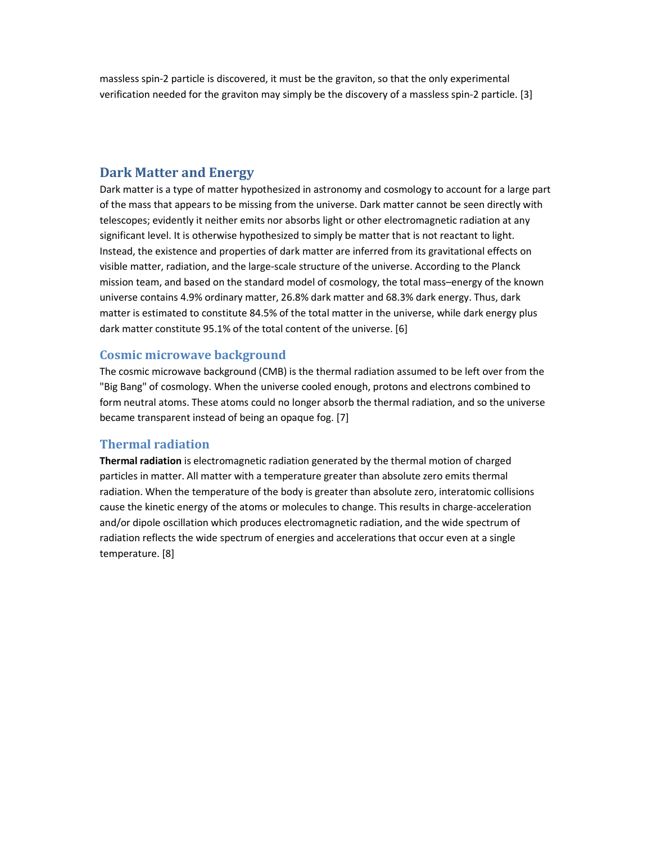massless spin-2 particle is discovered, it must be the graviton, so that the only experimental verification needed for the graviton may simply be the discovery of a massless spin-2 particle. [3]

### **Dark Matter and Energy**

Dark matter is a type of matter hypothesized in astronomy and cosmology to account for a large part of the mass that appears to be missing from the universe. Dark matter cannot be seen directly with telescopes; evidently it neither emits nor absorbs light or other electromagnetic radiation at any significant level. It is otherwise hypothesized to simply be matter that is not reactant to light. Instead, the existence and properties of dark matter are inferred from its gravitational effects on visible matter, radiation, and the large-scale structure of the universe. According to the Planck mission team, and based on the standard model of cosmology, the total mass–energy of the known universe contains 4.9% ordinary matter, 26.8% dark matter and 68.3% dark energy. Thus, dark matter is estimated to constitute 84.5% of the total matter in the universe, while dark energy plus dark matter constitute 95.1% of the total content of the universe. [6]

#### **Cosmic microwave background**

The cosmic microwave background (CMB) is the thermal radiation assumed to be left over from the "Big Bang" of cosmology. When the universe cooled enough, protons and electrons combined to form neutral atoms. These atoms could no longer absorb the thermal radiation, and so the universe became transparent instead of being an opaque fog. [7]

#### **Thermal radiation**

**Thermal radiation** is electromagnetic radiation generated by the thermal motion of charged particles in matter. All matter with a temperature greater than absolute zero emits thermal radiation. When the temperature of the body is greater than absolute zero, interatomic collisions cause the kinetic energy of the atoms or molecules to change. This results in charge-acceleration and/or dipole oscillation which produces electromagnetic radiation, and the wide spectrum of radiation reflects the wide spectrum of energies and accelerations that occur even at a single temperature. [8]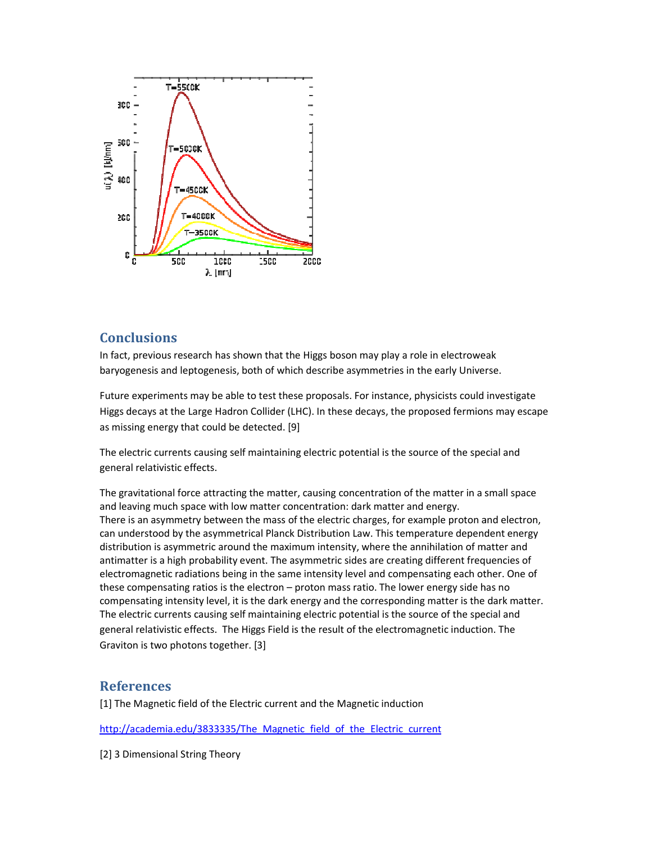

## **Conclusions**

In fact, previous research has shown that the Higgs boson may play a role in electroweak In fact, previous research has shown that the Higgs boson may play a role in electroweak<br>baryogenesis and leptogenesis, both of which describe asymmetries in the early Universe.

Future experiments may be able to test these proposals. For instance, physicists could investigate Higgs decays at the Large Hadron Collider (LHC). In these decays, the proposed fermions may escape as missing energy that could be detected. [9]

The electric currents causing self maintaining electric potential is the source of the special and general relativistic effects.

The gravitational force attracting the matter, causing concentration of the matter in a small space and leaving much space with low matter concentration: dark matter and energy. There is an asymmetry between the mass of the electric charges, for example proton and electron, can understood by the asymmetrical Planck Distribution Law. This temperature dependent energy distribution is asymmetric around the maximum intensity, where the annihilation of matter and antimatter is a high probability event. The asymmetric sides are creating different frequencies of electromagnetic radiations being in the same intensity level and compensating each other. One of these compensating ratios is the electron – proton mass ratio. The lower energy side has no compensating intensity level, it is the dark energy and the corresponding matter is the dark matter. The electric currents causing self maintaining electric potential is the source of the special and general relativistic effects. The Higgs Field is the result of the electromagnetic induction. The Graviton is two photons together. [3]

#### **References**

Graviton is two photons together. [3]<br>**References**<br>[1] The Magnetic field of the Electric current and the Magnetic induction

http://academia.edu/3833335/The Magnetic field of the Electric current

[2] 3 Dimensional String Theory